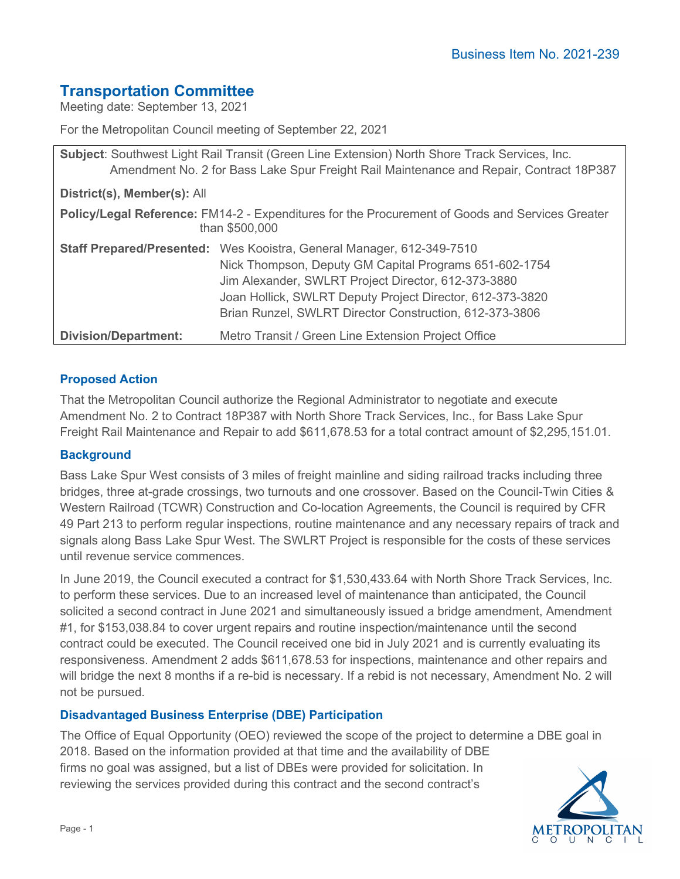# **Transportation Committee**

Meeting date: September 13, 2021

For the Metropolitan Council meeting of September 22, 2021

| Subject: Southwest Light Rail Transit (Green Line Extension) North Shore Track Services, Inc.<br>Amendment No. 2 for Bass Lake Spur Freight Rail Maintenance and Repair, Contract 18P387 |                                                                                                                                                                                                                                                                                                                |
|------------------------------------------------------------------------------------------------------------------------------------------------------------------------------------------|----------------------------------------------------------------------------------------------------------------------------------------------------------------------------------------------------------------------------------------------------------------------------------------------------------------|
| District(s), Member(s): All                                                                                                                                                              |                                                                                                                                                                                                                                                                                                                |
| Policy/Legal Reference: FM14-2 - Expenditures for the Procurement of Goods and Services Greater<br>than \$500,000                                                                        |                                                                                                                                                                                                                                                                                                                |
|                                                                                                                                                                                          | Staff Prepared/Presented: Wes Kooistra, General Manager, 612-349-7510<br>Nick Thompson, Deputy GM Capital Programs 651-602-1754<br>Jim Alexander, SWLRT Project Director, 612-373-3880<br>Joan Hollick, SWLRT Deputy Project Director, 612-373-3820<br>Brian Runzel, SWLRT Director Construction, 612-373-3806 |
| <b>Division/Department:</b>                                                                                                                                                              | Metro Transit / Green Line Extension Project Office                                                                                                                                                                                                                                                            |

# **Proposed Action**

That the Metropolitan Council authorize the Regional Administrator to negotiate and execute Amendment No. 2 to Contract 18P387 with North Shore Track Services, Inc., for Bass Lake Spur Freight Rail Maintenance and Repair to add \$611,678.53 for a total contract amount of \$2,295,151.01.

# **Background**

Bass Lake Spur West consists of 3 miles of freight mainline and siding railroad tracks including three bridges, three at-grade crossings, two turnouts and one crossover. Based on the Council-Twin Cities & Western Railroad (TCWR) Construction and Co-location Agreements, the Council is required by CFR 49 Part 213 to perform regular inspections, routine maintenance and any necessary repairs of track and signals along Bass Lake Spur West. The SWLRT Project is responsible for the costs of these services until revenue service commences.

In June 2019, the Council executed a contract for \$1,530,433.64 with North Shore Track Services, Inc. to perform these services. Due to an increased level of maintenance than anticipated, the Council solicited a second contract in June 2021 and simultaneously issued a bridge amendment, Amendment #1, for \$153,038.84 to cover urgent repairs and routine inspection/maintenance until the second contract could be executed. The Council received one bid in July 2021 and is currently evaluating its responsiveness. Amendment 2 adds \$611,678.53 for inspections, maintenance and other repairs and will bridge the next 8 months if a re-bid is necessary. If a rebid is not necessary, Amendment No. 2 will not be pursued.

# **Disadvantaged Business Enterprise (DBE) Participation**

The Office of Equal Opportunity (OEO) reviewed the scope of the project to determine a DBE goal in 2018. Based on the information provided at that time and the availability of DBE firms no goal was assigned, but a list of DBEs were provided for solicitation. In reviewing the services provided during this contract and the second contract's